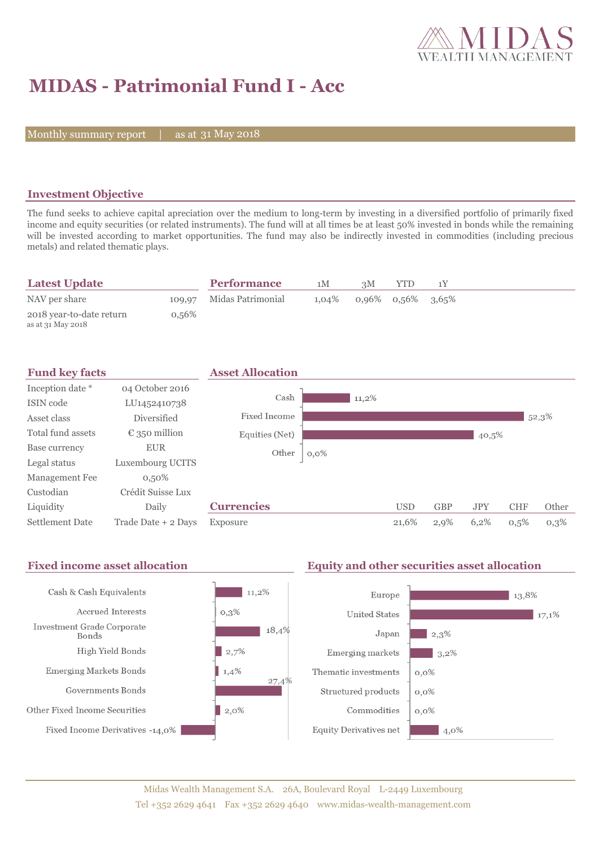

# **MIDAS - Patrimonial Fund I - Acc**

Monthly summary report | as at 31 May 2018

### **Investment Objective**

The fund seeks to achieve capital apreciation over the medium to long-term by investing in a diversified portfolio of primarily fixed income and equity securities (or related instruments). The fund will at all times be at least 50% invested in bonds while the remaining will be invested according to market opportunities. The fund may also be indirectly invested in commodities (including precious metals) and related thematic plays.

| <b>Latest Update</b>                          |          | <b>Performance</b>       | 1 M   | 3M                   | YTD |  |  |
|-----------------------------------------------|----------|--------------------------|-------|----------------------|-----|--|--|
| NAV per share                                 |          | 109,97 Midas Patrimonial | 1.04% | $0.96\%$ 0.56% 3.65% |     |  |  |
| 2018 year-to-date return<br>as at 31 May 2018 | $0,56\%$ |                          |       |                      |     |  |  |

| <b>Fund key facts</b>  |                        | <b>Asset Allocation</b> |         |            |            |            |            |       |
|------------------------|------------------------|-------------------------|---------|------------|------------|------------|------------|-------|
| Inception date *       | 04 October 2016        |                         |         |            |            |            |            |       |
| ISIN code              | LU1452410738           | Cash                    | 11,2%   |            |            |            |            |       |
| Asset class            | <b>Diversified</b>     | Fixed Income            |         |            |            |            |            | 52,3% |
| Total fund assets      | $\epsilon$ 350 million | Equities (Net)          |         |            |            | 40,5%      |            |       |
| Base currency          | <b>EUR</b>             | Other                   | $0,0\%$ |            |            |            |            |       |
| Legal status           | Luxembourg UCITS       |                         |         |            |            |            |            |       |
| Management Fee         | $0,50\%$               |                         |         |            |            |            |            |       |
| Custodian              | Crédit Suisse Lux      |                         |         |            |            |            |            |       |
| Liquidity              | Daily                  | <b>Currencies</b>       |         | <b>USD</b> | <b>GBP</b> | <b>JPY</b> | <b>CHF</b> | Other |
| <b>Settlement Date</b> | Trade Date + 2 Days    | Exposure                |         | 21,6%      | 2,9%       | 6,2%       | 0,5%       | 0,3%  |

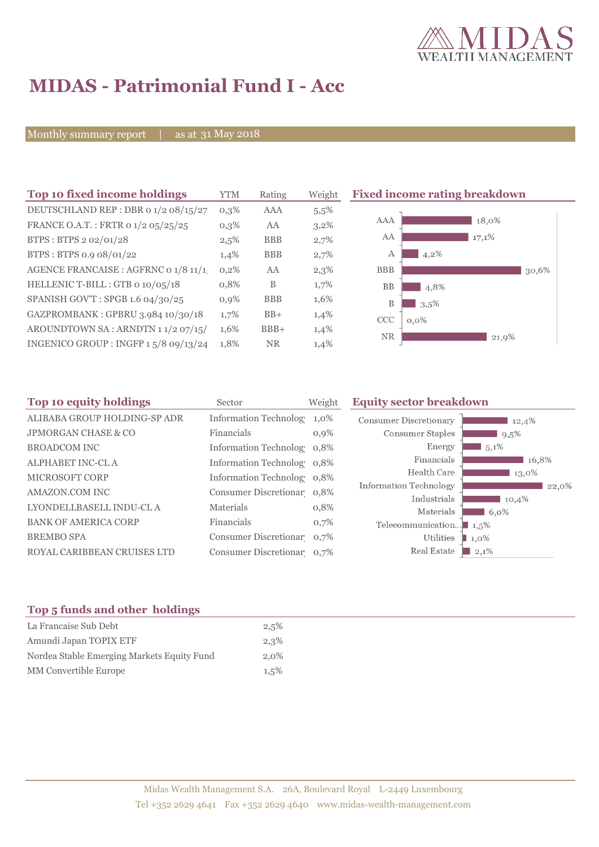

# **MIDAS - Patrimonial Fund I - Acc**

Monthly summary report | as at 31 May 2018

| YTM     | Rating     | Weigh   |
|---------|------------|---------|
| 0,3%    | AAA        | 5,5%    |
| $0,3\%$ | AA         | $3,2\%$ |
| 2,5%    | <b>BBB</b> | 2,7%    |
| 1,4%    | <b>BBB</b> | 2,7%    |
| 0,2%    | AA         | 2,3%    |
| 0,8%    | B          | $1,7\%$ |
| 0,9%    | <b>BBB</b> | 1,6%    |
| 1,7%    | $BB+$      | 1,4%    |
| 1,6%    | $BBB+$     | 1,4%    |
| 1.8%    | <b>NR</b>  | 1,4%    |
|         |            |         |

**Top 10 fixed income rating breakdown** 



| Sector     | Weight    | <b>Equity sector breakdown</b>                                                                                                                                                                                           |                                                    |
|------------|-----------|--------------------------------------------------------------------------------------------------------------------------------------------------------------------------------------------------------------------------|----------------------------------------------------|
|            | 1,0%      | <b>Consumer Discretionary</b>                                                                                                                                                                                            | 12,4%                                              |
| Financials | 0,9%      | Consumer Staples                                                                                                                                                                                                         | 9,5%                                               |
|            |           | Energy                                                                                                                                                                                                                   | $5,1\%$                                            |
|            |           | Financials                                                                                                                                                                                                               | 16,8%                                              |
|            |           | Health Care                                                                                                                                                                                                              | 13,0%                                              |
|            |           |                                                                                                                                                                                                                          | 22,0%                                              |
|            |           |                                                                                                                                                                                                                          | 10,4%                                              |
|            |           |                                                                                                                                                                                                                          | $6.0\%$                                            |
| Financials | 0,7%      | Telecommunication $\blacksquare$ 1,5%                                                                                                                                                                                    |                                                    |
|            |           | Utilities                                                                                                                                                                                                                | $\blacksquare$ 1,0%                                |
|            |           | Real Estate                                                                                                                                                                                                              | $\blacksquare$ 2,1%                                |
|            | Materials | <b>Information Technolog</b><br>Information Technolog 0,8%<br>Information Technolog 0,8%<br>Information Technolog 0,8%<br>Consumer Discretionar 0,8%<br>0,8%<br>Consumer Discretionar 0,7%<br>Consumer Discretionar 0,7% | Information Technology<br>Industrials<br>Materials |

#### **Top 5 funds and other holdings**

| La Francaise Sub Debt                      | 2,5%    |
|--------------------------------------------|---------|
| Amundi Japan TOPIX ETF                     | 2,3%    |
| Nordea Stable Emerging Markets Equity Fund | $2.0\%$ |
| <b>MM</b> Convertible Europe               | 1.5%    |